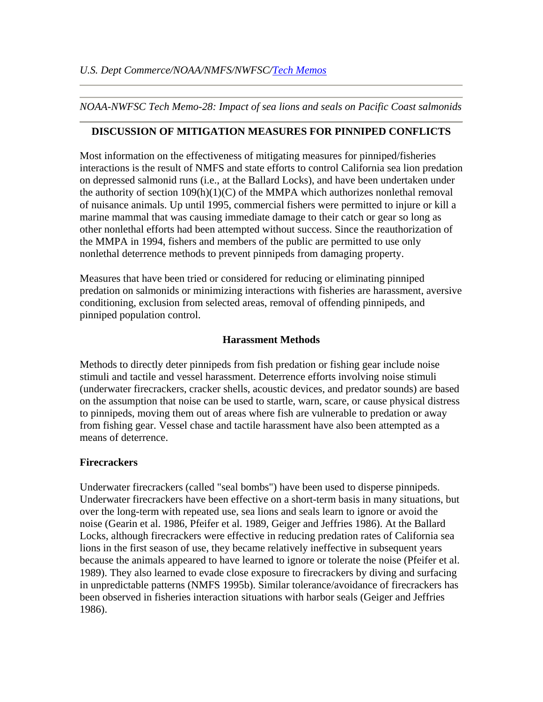*NOAA-NWFSC Tech Memo-28: Impact of sea lions and seals on Pacific Coast salmonids*

### **DISCUSSION OF MITIGATION MEASURES FOR PINNIPED CONFLICTS**

Most information on the effectiveness of mitigating measures for pinniped/fisheries interactions is the result of NMFS and state efforts to control California sea lion predation on depressed salmonid runs (i.e., at the Ballard Locks), and have been undertaken under the authority of section  $109(h)(1)(C)$  of the MMPA which authorizes nonlethal removal of nuisance animals. Up until 1995, commercial fishers were permitted to injure or kill a marine mammal that was causing immediate damage to their catch or gear so long as other nonlethal efforts had been attempted without success. Since the reauthorization of the MMPA in 1994, fishers and members of the public are permitted to use only nonlethal deterrence methods to prevent pinnipeds from damaging property.

Measures that have been tried or considered for reducing or eliminating pinniped predation on salmonids or minimizing interactions with fisheries are harassment, aversive conditioning, exclusion from selected areas, removal of offending pinnipeds, and pinniped population control.

## **Harassment Methods**

Methods to directly deter pinnipeds from fish predation or fishing gear include noise stimuli and tactile and vessel harassment. Deterrence efforts involving noise stimuli (underwater firecrackers, cracker shells, acoustic devices, and predator sounds) are based on the assumption that noise can be used to startle, warn, scare, or cause physical distress to pinnipeds, moving them out of areas where fish are vulnerable to predation or away from fishing gear. Vessel chase and tactile harassment have also been attempted as a means of deterrence.

### **Firecrackers**

Underwater firecrackers (called "seal bombs") have been used to disperse pinnipeds. Underwater firecrackers have been effective on a short-term basis in many situations, but over the long-term with repeated use, sea lions and seals learn to ignore or avoid the noise (Gearin et al. 1986, Pfeifer et al. 1989, Geiger and Jeffries 1986). At the Ballard Locks, although firecrackers were effective in reducing predation rates of California sea lions in the first season of use, they became relatively ineffective in subsequent years because the animals appeared to have learned to ignore or tolerate the noise (Pfeifer et al. 1989). They also learned to evade close exposure to firecrackers by diving and surfacing in unpredictable patterns (NMFS 1995b). Similar tolerance/avoidance of firecrackers has been observed in fisheries interaction situations with harbor seals (Geiger and Jeffries 1986).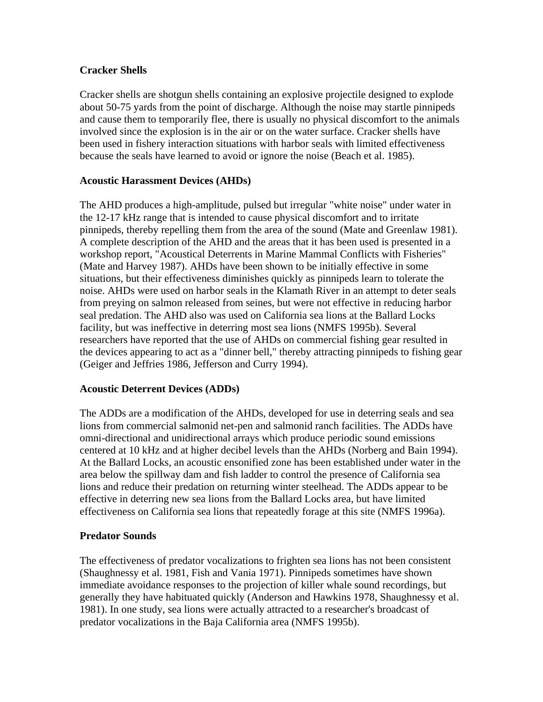# **Cracker Shells**

Cracker shells are shotgun shells containing an explosive projectile designed to explode about 50-75 yards from the point of discharge. Although the noise may startle pinnipeds and cause them to temporarily flee, there is usually no physical discomfort to the animals involved since the explosion is in the air or on the water surface. Cracker shells have been used in fishery interaction situations with harbor seals with limited effectiveness because the seals have learned to avoid or ignore the noise (Beach et al. 1985).

### **Acoustic Harassment Devices (AHDs)**

The AHD produces a high-amplitude, pulsed but irregular "white noise" under water in the 12-17 kHz range that is intended to cause physical discomfort and to irritate pinnipeds, thereby repelling them from the area of the sound (Mate and Greenlaw 1981). A complete description of the AHD and the areas that it has been used is presented in a workshop report, "Acoustical Deterrents in Marine Mammal Conflicts with Fisheries" (Mate and Harvey 1987). AHDs have been shown to be initially effective in some situations, but their effectiveness diminishes quickly as pinnipeds learn to tolerate the noise. AHDs were used on harbor seals in the Klamath River in an attempt to deter seals from preying on salmon released from seines, but were not effective in reducing harbor seal predation. The AHD also was used on California sea lions at the Ballard Locks facility, but was ineffective in deterring most sea lions (NMFS 1995b). Several researchers have reported that the use of AHDs on commercial fishing gear resulted in the devices appearing to act as a "dinner bell," thereby attracting pinnipeds to fishing gear (Geiger and Jeffries 1986, Jefferson and Curry 1994).

### **Acoustic Deterrent Devices (ADDs)**

The ADDs are a modification of the AHDs, developed for use in deterring seals and sea lions from commercial salmonid net-pen and salmonid ranch facilities. The ADDs have omni-directional and unidirectional arrays which produce periodic sound emissions centered at 10 kHz and at higher decibel levels than the AHDs (Norberg and Bain 1994). At the Ballard Locks, an acoustic ensonified zone has been established under water in the area below the spillway dam and fish ladder to control the presence of California sea lions and reduce their predation on returning winter steelhead. The ADDs appear to be effective in deterring new sea lions from the Ballard Locks area, but have limited effectiveness on California sea lions that repeatedly forage at this site (NMFS 1996a).

# **Predator Sounds**

The effectiveness of predator vocalizations to frighten sea lions has not been consistent (Shaughnessy et al. 1981, Fish and Vania 1971). Pinnipeds sometimes have shown immediate avoidance responses to the projection of killer whale sound recordings, but generally they have habituated quickly (Anderson and Hawkins 1978, Shaughnessy et al. 1981). In one study, sea lions were actually attracted to a researcher's broadcast of predator vocalizations in the Baja California area (NMFS 1995b).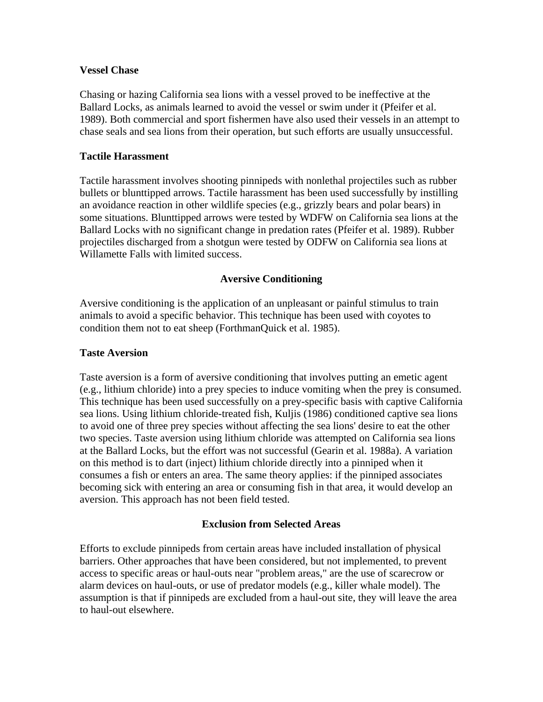### **Vessel Chase**

Chasing or hazing California sea lions with a vessel proved to be ineffective at the Ballard Locks, as animals learned to avoid the vessel or swim under it (Pfeifer et al. 1989). Both commercial and sport fishermen have also used their vessels in an attempt to chase seals and sea lions from their operation, but such efforts are usually unsuccessful.

# **Tactile Harassment**

Tactile harassment involves shooting pinnipeds with nonlethal projectiles such as rubber bullets or blunttipped arrows. Tactile harassment has been used successfully by instilling an avoidance reaction in other wildlife species (e.g., grizzly bears and polar bears) in some situations. Blunttipped arrows were tested by WDFW on California sea lions at the Ballard Locks with no significant change in predation rates (Pfeifer et al. 1989). Rubber projectiles discharged from a shotgun were tested by ODFW on California sea lions at Willamette Falls with limited success.

### **Aversive Conditioning**

Aversive conditioning is the application of an unpleasant or painful stimulus to train animals to avoid a specific behavior. This technique has been used with coyotes to condition them not to eat sheep (ForthmanQuick et al. 1985).

### **Taste Aversion**

Taste aversion is a form of aversive conditioning that involves putting an emetic agent (e.g., lithium chloride) into a prey species to induce vomiting when the prey is consumed. This technique has been used successfully on a prey-specific basis with captive California sea lions. Using lithium chloride-treated fish, Kuljis (1986) conditioned captive sea lions to avoid one of three prey species without affecting the sea lions' desire to eat the other two species. Taste aversion using lithium chloride was attempted on California sea lions at the Ballard Locks, but the effort was not successful (Gearin et al. 1988a). A variation on this method is to dart (inject) lithium chloride directly into a pinniped when it consumes a fish or enters an area. The same theory applies: if the pinniped associates becoming sick with entering an area or consuming fish in that area, it would develop an aversion. This approach has not been field tested.

# **Exclusion from Selected Areas**

Efforts to exclude pinnipeds from certain areas have included installation of physical barriers. Other approaches that have been considered, but not implemented, to prevent access to specific areas or haul-outs near "problem areas," are the use of scarecrow or alarm devices on haul-outs, or use of predator models (e.g., killer whale model). The assumption is that if pinnipeds are excluded from a haul-out site, they will leave the area to haul-out elsewhere.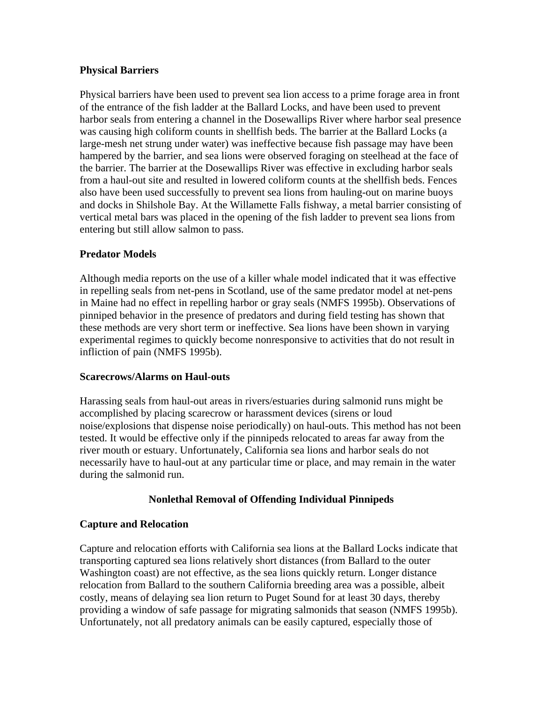## **Physical Barriers**

Physical barriers have been used to prevent sea lion access to a prime forage area in front of the entrance of the fish ladder at the Ballard Locks, and have been used to prevent harbor seals from entering a channel in the Dosewallips River where harbor seal presence was causing high coliform counts in shellfish beds. The barrier at the Ballard Locks (a large-mesh net strung under water) was ineffective because fish passage may have been hampered by the barrier, and sea lions were observed foraging on steelhead at the face of the barrier. The barrier at the Dosewallips River was effective in excluding harbor seals from a haul-out site and resulted in lowered coliform counts at the shellfish beds. Fences also have been used successfully to prevent sea lions from hauling-out on marine buoys and docks in Shilshole Bay. At the Willamette Falls fishway, a metal barrier consisting of vertical metal bars was placed in the opening of the fish ladder to prevent sea lions from entering but still allow salmon to pass.

## **Predator Models**

Although media reports on the use of a killer whale model indicated that it was effective in repelling seals from net-pens in Scotland, use of the same predator model at net-pens in Maine had no effect in repelling harbor or gray seals (NMFS 1995b). Observations of pinniped behavior in the presence of predators and during field testing has shown that these methods are very short term or ineffective. Sea lions have been shown in varying experimental regimes to quickly become nonresponsive to activities that do not result in infliction of pain (NMFS 1995b).

### **Scarecrows/Alarms on Haul-outs**

Harassing seals from haul-out areas in rivers/estuaries during salmonid runs might be accomplished by placing scarecrow or harassment devices (sirens or loud noise/explosions that dispense noise periodically) on haul-outs. This method has not been tested. It would be effective only if the pinnipeds relocated to areas far away from the river mouth or estuary. Unfortunately, California sea lions and harbor seals do not necessarily have to haul-out at any particular time or place, and may remain in the water during the salmonid run.

# **Nonlethal Removal of Offending Individual Pinnipeds**

# **Capture and Relocation**

Capture and relocation efforts with California sea lions at the Ballard Locks indicate that transporting captured sea lions relatively short distances (from Ballard to the outer Washington coast) are not effective, as the sea lions quickly return. Longer distance relocation from Ballard to the southern California breeding area was a possible, albeit costly, means of delaying sea lion return to Puget Sound for at least 30 days, thereby providing a window of safe passage for migrating salmonids that season (NMFS 1995b). Unfortunately, not all predatory animals can be easily captured, especially those of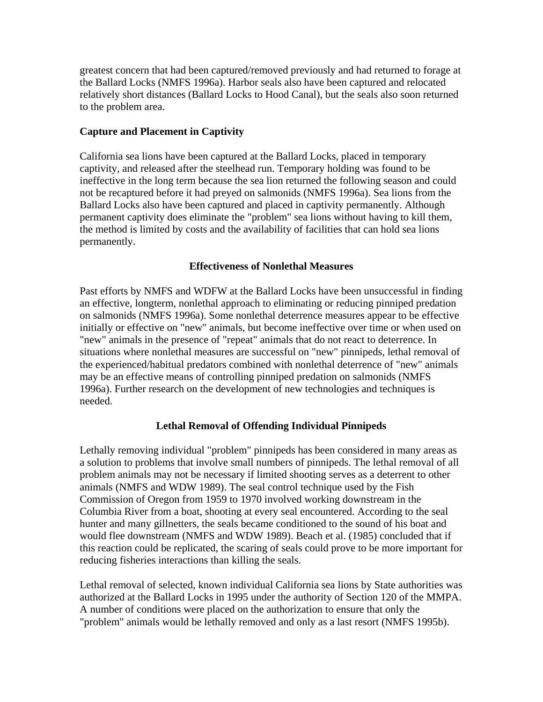greatest concern that had been captured/removed previously and had returned to forage at the Ballard Locks (NMFS 1996a). Harbor seals also have been captured and relocated relatively short distances (Ballard Locks to Hood Canal), but the seals also soon returned to the problem area.

# **Capture and Placement in Captivity**

California sea lions have been captured at the Ballard Locks, placed in temporary captivity, and released after the steelhead run. Temporary holding was found to be ineffective in the long term because the sea lion returned the following season and could not be recaptured before it had preyed on salmonids (NMFS 1996a). Sea lions from the Ballard Locks also have been captured and placed in captivity permanently. Although permanent captivity does eliminate the "problem" sea lions without having to kill them, the method is limited by costs and the availability of facilities that can hold sea lions permanently.

## **Effectiveness of Nonlethal Measures**

Past efforts by NMFS and WDFW at the Ballard Locks have been unsuccessful in finding an effective, longterm, nonlethal approach to eliminating or reducing pinniped predation on salmonids (NMFS 1996a). Some nonlethal deterrence measures appear to be effective initially or effective on "new" animals, but become ineffective over time or when used on "new" animals in the presence of "repeat" animals that do not react to deterrence. In situations where nonlethal measures are successful on "new" pinnipeds, lethal removal of the experienced/habitual predators combined with nonlethal deterrence of "new" animals may be an effective means of controlling pinniped predation on salmonids (NMFS 1996a). Further research on the development of new technologies and techniques is needed.

# **Lethal Removal of Offending Individual Pinnipeds**

Lethally removing individual "problem" pinnipeds has been considered in many areas as a solution to problems that involve small numbers of pinnipeds. The lethal removal of all problem animals may not be necessary if limited shooting serves as a deterrent to other animals (NMFS and WDW 1989). The seal control technique used by the Fish Commission of Oregon from 1959 to 1970 involved working downstream in the Columbia River from a boat, shooting at every seal encountered. According to the seal hunter and many gillnetters, the seals became conditioned to the sound of his boat and would flee downstream (NMFS and WDW 1989). Beach et al. (1985) concluded that if this reaction could be replicated, the scaring of seals could prove to be more important for reducing fisheries interactions than killing the seals.

Lethal removal of selected, known individual California sea lions by State authorities was authorized at the Ballard Locks in 1995 under the authority of Section 120 of the MMPA. A number of conditions were placed on the authorization to ensure that only the "problem" animals would be lethally removed and only as a last resort (NMFS 1995b).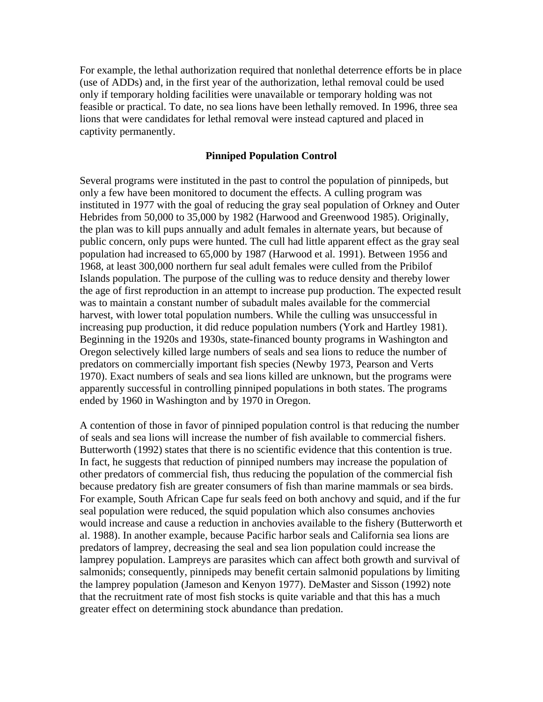For example, the lethal authorization required that nonlethal deterrence efforts be in place (use of ADDs) and, in the first year of the authorization, lethal removal could be used only if temporary holding facilities were unavailable or temporary holding was not feasible or practical. To date, no sea lions have been lethally removed. In 1996, three sea lions that were candidates for lethal removal were instead captured and placed in captivity permanently.

#### **Pinniped Population Control**

Several programs were instituted in the past to control the population of pinnipeds, but only a few have been monitored to document the effects. A culling program was instituted in 1977 with the goal of reducing the gray seal population of Orkney and Outer Hebrides from 50,000 to 35,000 by 1982 (Harwood and Greenwood 1985). Originally, the plan was to kill pups annually and adult females in alternate years, but because of public concern, only pups were hunted. The cull had little apparent effect as the gray seal population had increased to 65,000 by 1987 (Harwood et al. 1991). Between 1956 and 1968, at least 300,000 northern fur seal adult females were culled from the Pribilof Islands population. The purpose of the culling was to reduce density and thereby lower the age of first reproduction in an attempt to increase pup production. The expected result was to maintain a constant number of subadult males available for the commercial harvest, with lower total population numbers. While the culling was unsuccessful in increasing pup production, it did reduce population numbers (York and Hartley 1981). Beginning in the 1920s and 1930s, state-financed bounty programs in Washington and Oregon selectively killed large numbers of seals and sea lions to reduce the number of predators on commercially important fish species (Newby 1973, Pearson and Verts 1970). Exact numbers of seals and sea lions killed are unknown, but the programs were apparently successful in controlling pinniped populations in both states. The programs ended by 1960 in Washington and by 1970 in Oregon.

A contention of those in favor of pinniped population control is that reducing the number of seals and sea lions will increase the number of fish available to commercial fishers. Butterworth (1992) states that there is no scientific evidence that this contention is true. In fact, he suggests that reduction of pinniped numbers may increase the population of other predators of commercial fish, thus reducing the population of the commercial fish because predatory fish are greater consumers of fish than marine mammals or sea birds. For example, South African Cape fur seals feed on both anchovy and squid, and if the fur seal population were reduced, the squid population which also consumes anchovies would increase and cause a reduction in anchovies available to the fishery (Butterworth et al. 1988). In another example, because Pacific harbor seals and California sea lions are predators of lamprey, decreasing the seal and sea lion population could increase the lamprey population. Lampreys are parasites which can affect both growth and survival of salmonids; consequently, pinnipeds may benefit certain salmonid populations by limiting the lamprey population (Jameson and Kenyon 1977). DeMaster and Sisson (1992) note that the recruitment rate of most fish stocks is quite variable and that this has a much greater effect on determining stock abundance than predation.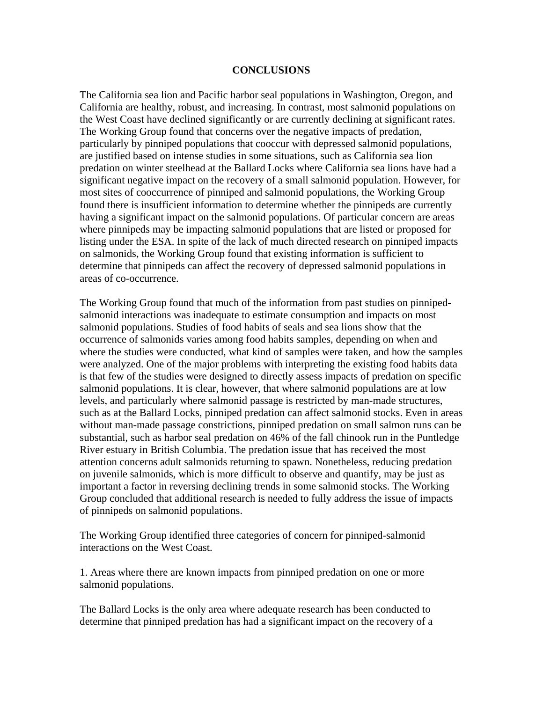#### **CONCLUSIONS**

The California sea lion and Pacific harbor seal populations in Washington, Oregon, and California are healthy, robust, and increasing. In contrast, most salmonid populations on the West Coast have declined significantly or are currently declining at significant rates. The Working Group found that concerns over the negative impacts of predation, particularly by pinniped populations that cooccur with depressed salmonid populations, are justified based on intense studies in some situations, such as California sea lion predation on winter steelhead at the Ballard Locks where California sea lions have had a significant negative impact on the recovery of a small salmonid population. However, for most sites of cooccurrence of pinniped and salmonid populations, the Working Group found there is insufficient information to determine whether the pinnipeds are currently having a significant impact on the salmonid populations. Of particular concern are areas where pinnipeds may be impacting salmonid populations that are listed or proposed for listing under the ESA. In spite of the lack of much directed research on pinniped impacts on salmonids, the Working Group found that existing information is sufficient to determine that pinnipeds can affect the recovery of depressed salmonid populations in areas of co-occurrence.

The Working Group found that much of the information from past studies on pinnipedsalmonid interactions was inadequate to estimate consumption and impacts on most salmonid populations. Studies of food habits of seals and sea lions show that the occurrence of salmonids varies among food habits samples, depending on when and where the studies were conducted, what kind of samples were taken, and how the samples were analyzed. One of the major problems with interpreting the existing food habits data is that few of the studies were designed to directly assess impacts of predation on specific salmonid populations. It is clear, however, that where salmonid populations are at low levels, and particularly where salmonid passage is restricted by man-made structures, such as at the Ballard Locks, pinniped predation can affect salmonid stocks. Even in areas without man-made passage constrictions, pinniped predation on small salmon runs can be substantial, such as harbor seal predation on 46% of the fall chinook run in the Puntledge River estuary in British Columbia. The predation issue that has received the most attention concerns adult salmonids returning to spawn. Nonetheless, reducing predation on juvenile salmonids, which is more difficult to observe and quantify, may be just as important a factor in reversing declining trends in some salmonid stocks. The Working Group concluded that additional research is needed to fully address the issue of impacts of pinnipeds on salmonid populations.

The Working Group identified three categories of concern for pinniped-salmonid interactions on the West Coast.

1. Areas where there are known impacts from pinniped predation on one or more salmonid populations.

The Ballard Locks is the only area where adequate research has been conducted to determine that pinniped predation has had a significant impact on the recovery of a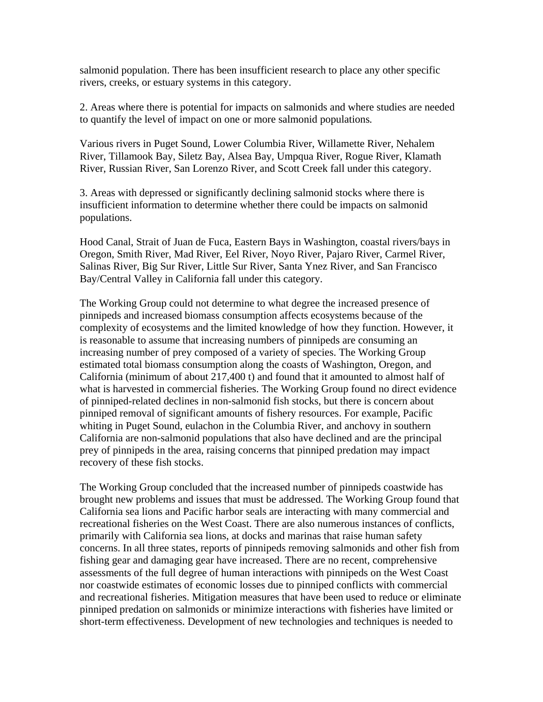salmonid population. There has been insufficient research to place any other specific rivers, creeks, or estuary systems in this category.

2. Areas where there is potential for impacts on salmonids and where studies are needed to quantify the level of impact on one or more salmonid populations*.* 

Various rivers in Puget Sound, Lower Columbia River, Willamette River, Nehalem River, Tillamook Bay, Siletz Bay, Alsea Bay, Umpqua River, Rogue River, Klamath River, Russian River, San Lorenzo River, and Scott Creek fall under this category.

3. Areas with depressed or significantly declining salmonid stocks where there is insufficient information to determine whether there could be impacts on salmonid populations.

Hood Canal, Strait of Juan de Fuca, Eastern Bays in Washington, coastal rivers/bays in Oregon, Smith River, Mad River, Eel River, Noyo River, Pajaro River, Carmel River, Salinas River, Big Sur River, Little Sur River, Santa Ynez River, and San Francisco Bay/Central Valley in California fall under this category.

The Working Group could not determine to what degree the increased presence of pinnipeds and increased biomass consumption affects ecosystems because of the complexity of ecosystems and the limited knowledge of how they function. However, it is reasonable to assume that increasing numbers of pinnipeds are consuming an increasing number of prey composed of a variety of species. The Working Group estimated total biomass consumption along the coasts of Washington, Oregon, and California (minimum of about 217,400 t) and found that it amounted to almost half of what is harvested in commercial fisheries. The Working Group found no direct evidence of pinniped-related declines in non-salmonid fish stocks, but there is concern about pinniped removal of significant amounts of fishery resources. For example, Pacific whiting in Puget Sound, eulachon in the Columbia River, and anchovy in southern California are non-salmonid populations that also have declined and are the principal prey of pinnipeds in the area, raising concerns that pinniped predation may impact recovery of these fish stocks.

The Working Group concluded that the increased number of pinnipeds coastwide has brought new problems and issues that must be addressed. The Working Group found that California sea lions and Pacific harbor seals are interacting with many commercial and recreational fisheries on the West Coast. There are also numerous instances of conflicts, primarily with California sea lions, at docks and marinas that raise human safety concerns. In all three states, reports of pinnipeds removing salmonids and other fish from fishing gear and damaging gear have increased. There are no recent, comprehensive assessments of the full degree of human interactions with pinnipeds on the West Coast nor coastwide estimates of economic losses due to pinniped conflicts with commercial and recreational fisheries. Mitigation measures that have been used to reduce or eliminate pinniped predation on salmonids or minimize interactions with fisheries have limited or short-term effectiveness. Development of new technologies and techniques is needed to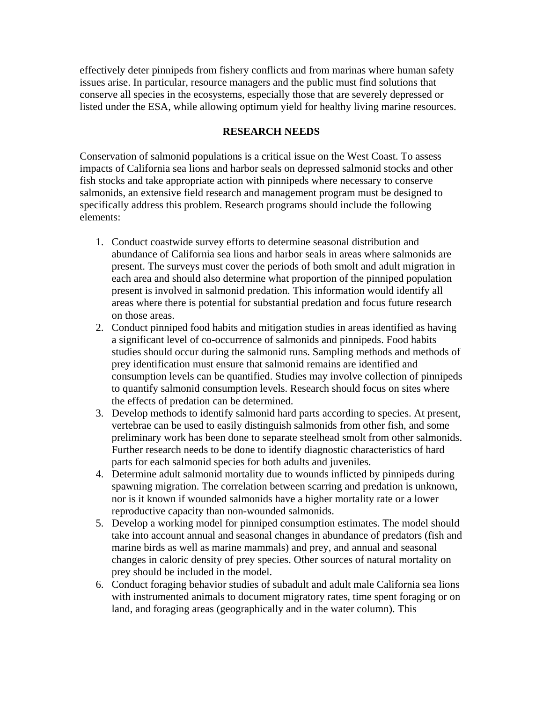effectively deter pinnipeds from fishery conflicts and from marinas where human safety issues arise. In particular, resource managers and the public must find solutions that conserve all species in the ecosystems, especially those that are severely depressed or listed under the ESA, while allowing optimum yield for healthy living marine resources.

#### **RESEARCH NEEDS**

Conservation of salmonid populations is a critical issue on the West Coast. To assess impacts of California sea lions and harbor seals on depressed salmonid stocks and other fish stocks and take appropriate action with pinnipeds where necessary to conserve salmonids, an extensive field research and management program must be designed to specifically address this problem. Research programs should include the following elements:

- 1. Conduct coastwide survey efforts to determine seasonal distribution and abundance of California sea lions and harbor seals in areas where salmonids are present. The surveys must cover the periods of both smolt and adult migration in each area and should also determine what proportion of the pinniped population present is involved in salmonid predation. This information would identify all areas where there is potential for substantial predation and focus future research on those areas.
- 2. Conduct pinniped food habits and mitigation studies in areas identified as having a significant level of co-occurrence of salmonids and pinnipeds. Food habits studies should occur during the salmonid runs. Sampling methods and methods of prey identification must ensure that salmonid remains are identified and consumption levels can be quantified. Studies may involve collection of pinnipeds to quantify salmonid consumption levels. Research should focus on sites where the effects of predation can be determined.
- 3. Develop methods to identify salmonid hard parts according to species. At present, vertebrae can be used to easily distinguish salmonids from other fish, and some preliminary work has been done to separate steelhead smolt from other salmonids. Further research needs to be done to identify diagnostic characteristics of hard parts for each salmonid species for both adults and juveniles.
- 4. Determine adult salmonid mortality due to wounds inflicted by pinnipeds during spawning migration. The correlation between scarring and predation is unknown, nor is it known if wounded salmonids have a higher mortality rate or a lower reproductive capacity than non-wounded salmonids.
- 5. Develop a working model for pinniped consumption estimates. The model should take into account annual and seasonal changes in abundance of predators (fish and marine birds as well as marine mammals) and prey, and annual and seasonal changes in caloric density of prey species. Other sources of natural mortality on prey should be included in the model.
- 6. Conduct foraging behavior studies of subadult and adult male California sea lions with instrumented animals to document migratory rates, time spent foraging or on land, and foraging areas (geographically and in the water column). This